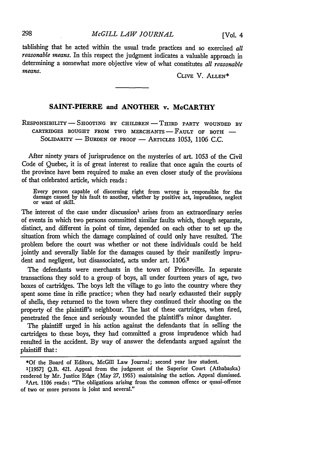tablishing that he acted within the usual trade practices and so exercised *all reasonable means.* In this respect the judgment indicates a valuable approach in determining a somewhat more objective view of what constitutes *all reasonable means.* 

CLIvE V. ALLEN\*

## **SAINT-PIERRE and ANOTHER v. McCARTHY**

RESPONSIBILITY- **SHOOTING** BY CHILDREN-THIRD PARTY **WOUNDED** BY CARTRIDGES **BOUGHT** FROM TWO **MERCHANTS** - FAULT OF BOTH **-** SOLIDARITY - BURDEN OF PROOF - ARTICLES 1053, 1106 C.C.

After ninety years of jurisprudence on the mysteries of art. 1053 of the Civil Code of Quebec, it is of great interest to realize that once again the courts of the province have been required to make an even closer study of the provisions of that celebrated article, which reads:

Every person capable of discerning right from wrong is responsible for the damage caused by his fault to another, whether by positive act, imprudence, neglect or want of skill.

The interest of the case under discussion<sup>1</sup> arises from an extraordinary series of events in which two persons committed similar faults which, though separate, distinct, and different in point of time, depended on each other to set up the situation from which the damage complained of could only have resulted. The problem before the court was whether or not these individuals could be held jointly and severally liable for the damages caused by their manifestly imprudent and negligent, but disassociated, acts under art. 1106.<sup>2</sup>

The defendants were merchants in the town of Princeville. In separate transactions they sold to a group of boys, all under fourteen years of age, two boxes of cartridges. The boys left the village to go into the country where they spent some time in rifle practice; when they had nearly exhausted their supply of shells, they returned to the town where they continued their shooting on the property of the plaintiff's neighbour. The last of these cartridges, when fired, penetrated the fence and seriously wounded the plaintiff's minor daughter.

The plaintiff urged in his action against the defendants that in selling the cartridges to these boys, they had committed a gross imprudence which had resulted in the accident. By way of answer the defendants argued against the plaintiff that:

<sup>\*</sup>Of the Board of Editors, McGill Law Journal; second year law student.

**<sup>1[1957]</sup>** Q.B. 421. Appeal from the judgment of the Superior Court (Athabaska) rendered by Mr. Justice Edge (May **27, 1955)** maintaining the action. Appeal dismissed. 2Art. 1106 reads: "The obligations arising from the common offence or quasi-offence of two or more persons is joint and several."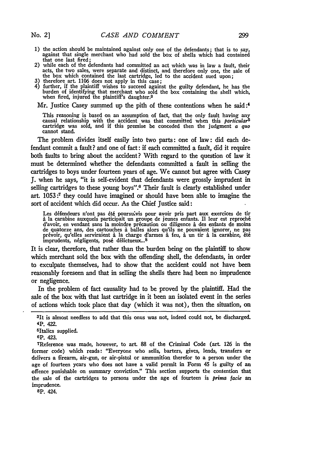- **1)** the action should be maintained against only one of the defendants; that is to say, against that single merchant who had sold the box of shells which had contained that one last fired;
- 2) while each of the defendants had committed an act which was in law a fault, their acts, the two sales, were separate and distinct, and therefore only one, the sale of the box which contained the last cartridge, led to the accident sued upon; **3)** therefore art. **1106** does not apply in this case;
- 
- 4) further, if the plaintiff wishes to succeed against the guilty defendant, he has the burden of identifying that merchant who sold the box containing the shell which, when fired, injured the plaintiff's daughter.<sup>3</sup>

Mr. Justice Casey summed up the pith of these contentions when he said **:4**

This reasoning is based on an assumption of fact, that the only fault having any causal relationship with the accident was that committed when this *particular5* cartridge was sold, and if this premise be conceded then the judgment *a quo* cannot stand.

The problem divides itself easily into two parts: one of law: did each defendant commit a fault? and one of fact: if each committed a fault, did it require both faults to bring about the accident? With regard to the question of law it must be determined whether the defendants committed a fault in selling the cartridges to boys under fourteen years of age. We cannot but agree with Casey **J.** when he says, "it is self-evident that defendants were grossly imprudent in selling cartridges to these young boys".6 Their fault is dearly established under art. **1053:7** they could have imagined or should have been able to imagine the sort of accident which did occur. As the Chief Justice said:

Les défendeurs n'ont pas été poursuivis pour avoir pris part aux exercices de tir a **la** carabine auxquels participait un groupe de jeunes enfants. Il leur est reproch6 d'avoir, en vendant sans **la** moindre prtcaution on diligence a des enfants de **moins** de quatorze ans, des cartouches i balles alors qu'ils ne pouvaient ignorer, ne **pas** pr6voir, qu'elles serviraient i **la** charge d'armes fen, a un tir A **la** carabine, **6t6** imprudents, négligents, posé délictueux...<sup>8</sup>

It is clear, therefore, that rather **than** the burden being on the plaintiff to show which merchant sold the box with the offending shell, the defendants, in order to exculpate themselves, had to show that the accident could not have been reasonably foreseen and that in selling the shells there had been no imprudence or negligence.

In the problem of fact causality had to be proved **by** the plaintiff. Had the sale of the box with that last cartridge in it been an isolated event in the series of actions which took place that day (which it was not), then the situation, on

Op. 423.

7Reference was made, however, to art. 88 of the Criminal Code (art. **126** in the former code) which reads: 'Everyone who sells, barters, gives, lends, transfers or delivers a firearm, air-gun, or air-pistol or ammunition therefor to a person under the age of fourteen years who does not have a valid permit in Form 45 is guilty of an offence punishable on summary conviction." This section supports the contention that the sale of the cartridges to persons under the age of fourteen is *prima facie* an imprudence.

**8P.** 424.

<sup>3</sup> it is almost needless to add that this onus was not, indeed could not, be discharged. 4p. 422.

<sup>5</sup>Italics supplied.